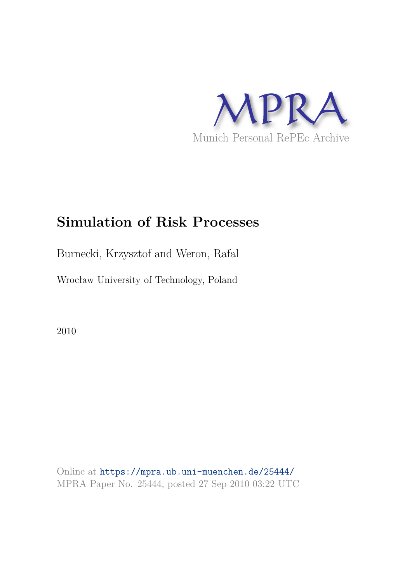

# **Simulation of Risk Processes**

Burnecki, Krzysztof and Weron, Rafal

Wrocław University of Technology, Poland

2010

Online at https://mpra.ub.uni-muenchen.de/25444/ MPRA Paper No. 25444, posted 27 Sep 2010 03:22 UTC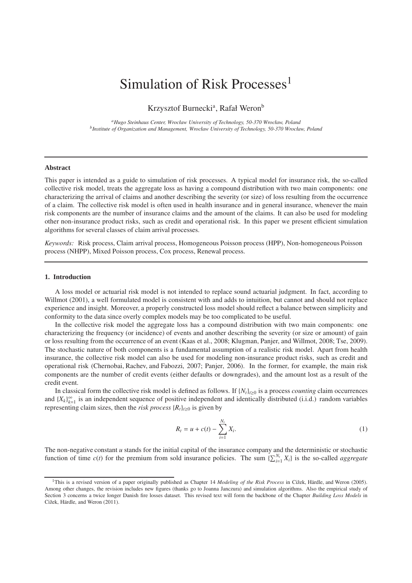## Simulation of Risk Processes<sup>1</sup>

Krzysztof Burnecki<sup>a</sup>, Rafał Weron<sup>b</sup>

*<sup>a</sup>Hugo Steinhaus Center, Wrocław University of Technology, 50-370 Wrocław, Poland b Institute of Organization and Management, Wrocław University of Technology, 50-370 Wrocław, Poland*

#### **Abstract**

This paper is intended as a guide to simulation of risk processes. A typical model for insurance risk, the so-called collective risk model, treats the aggregate loss as having a compound distribution with two main components: one characterizing the arrival of claims and another describing the severity (or size) of loss resulting from the occurrence of a claim. The collective risk model is often used in health insurance and in general insurance, whenever the main risk components are the number of insurance claims and the amount of the claims. It can also be used for modeling other non-insurance product risks, such as credit and operational risk. In this paper we present efficient simulation algorithms for several classes of claim arrival processes.

*Keywords:* Risk process, Claim arrival process, Homogeneous Poisson process (HPP), Non-homogeneous Poisson process (NHPP), Mixed Poisson process, Cox process, Renewal process.

#### **1. Introduction**

A loss model or actuarial risk model is not intended to replace sound actuarial judgment. In fact, according to Willmot (2001), a well formulated model is consistent with and adds to intuition, but cannot and should not replace experience and insight. Moreover, a properly constructed loss model should reflect a balance between simplicity and conformity to the data since overly complex models may be too complicated to be useful.

In the collective risk model the aggregate loss has a compound distribution with two main components: one characterizing the frequency (or incidence) of events and another describing the severity (or size or amount) of gain or loss resulting from the occurrence of an event (Kaas et al., 2008; Klugman, Panjer, and Willmot, 2008; Tse, 2009). The stochastic nature of both components is a fundamental assumption of a realistic risk model. Apart from health insurance, the collective risk model can also be used for modeling non-insurance product risks, such as credit and operational risk (Chernobai, Rachev, and Fabozzi, 2007; Panjer, 2006). In the former, for example, the main risk components are the number of credit events (either defaults or downgrades), and the amount lost as a result of the credit event.

In classical form the collective risk model is defined as follows. If  $\{N_t\}_{t\geq0}$  is a process *counting* claim occurrences and  ${X_k}_{k=1}^{\infty}$  is an independent sequence of positive independent and identically distributed (i.i.d.) random variables representing claim sizes, then the *risk process*  ${R_t}_{t\ge0}$  is given by

$$
R_t = u + c(t) - \sum_{i=1}^{N_t} X_i.
$$
 (1)

The non-negative constant  $u$  stands for the initial capital of the insurance company and the deterministic or stochastic function of time  $c(t)$  for the premium from sold insurance policies. The sum  $\sum_{i=1}^{N_t} X_i$  is the so-called *aggregate* 

<sup>&</sup>lt;sup>1</sup>This is a revised version of a paper originally published as Chapter 14 *Modeling of the Risk Process* in Cižek, Härdle, and Weron (2005). Among other changes, the revision includes new figures (thanks go to Joanna Janczura) and simulation algorithms. Also the empirical study of Section 3 concerns a twice longer Danish fire losses dataset. This revised text will form the backbone of the Chapter *Building Loss Models* in Cižek, Härdle, and Weron (2011).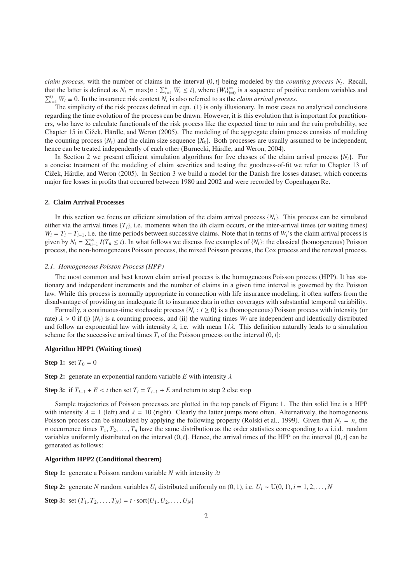*claim process*, with the number of claims in the interval (0, *t*] being modeled by the *counting process N<sup>t</sup>* . Recall, that the latter is defined as  $N_t = \max\{n : \sum_{i=1}^n W_i \le t\}$ , where  $\{W_i\}_{i=0}^\infty$  is a sequence of positive random variables and  $\sum_{i=1}^{0} W_i \equiv 0$ . In the insurance risk context *N<sub>t</sub>* is also referred to as the *claim arrival process*.

The simplicity of the risk process defined in eqn. (1) is only illusionary. In most cases no analytical conclusions regarding the time evolution of the process can be drawn. However, it is this evolution that is important for practitioners, who have to calculate functionals of the risk process like the expected time to ruin and the ruin probability, see Chapter 15 in Cižek, Härdle, and Weron (2005). The modeling of the aggregate claim process consists of modeling the counting process  $\{N_t\}$  and the claim size sequence  $\{X_k\}$ . Both processes are usually assumed to be independent, hence can be treated independently of each other (Burnecki, Härdle, and Weron, 2004).

In Section 2 we present efficient simulation algorithms for five classes of the claim arrival process {*Nt*}. For a concise treatment of the modeling of claim severities and testing the goodness-of-fit we refer to Chapter 13 of Cižek, Härdle, and Weron (2005). In Section 3 we build a model for the Danish fire losses dataset, which concerns major fire losses in profits that occurred between 1980 and 2002 and were recorded by Copenhagen Re.

#### **2. Claim Arrival Processes**

In this section we focus on efficient simulation of the claim arrival process {*Nt*}. This process can be simulated either via the arrival times  $\{T_i\}$ , i.e. moments when the *i*th claim occurs, or the inter-arrival times (or waiting times)  $W_i = T_i - T_{i-1}$ , i.e. the time periods between successive claims. Note that in terms of  $W_i$ 's the claim arrival process is given by  $N_t = \sum_{n=1}^{\infty} I(T_n \le t)$ . In what follows we discuss five examples of  $\{N_t\}$ : the classical (homogeneous) Poisson process, the non-homogeneous Poisson process, the mixed Poisson process, the Cox process and the renewal process.

#### *2.1. Homogeneous Poisson Process (HPP)*

The most common and best known claim arrival process is the homogeneous Poisson process (HPP). It has stationary and independent increments and the number of claims in a given time interval is governed by the Poisson law. While this process is normally appropriate in connection with life insurance modeling, it often suffers from the disadvantage of providing an inadequate fit to insurance data in other coverages with substantial temporal variability.

Formally, a continuous-time stochastic process  $\{N_t : t \geq 0\}$  is a (homogeneous) Poisson process with intensity (or rate)  $\lambda > 0$  if (i)  $\{N_t\}$  is a counting process, and (ii) the waiting times  $W_i$  are independent and identically distributed and follow an exponential law with intensity  $\lambda$ , i.e. with mean  $1/\lambda$ . This definition naturally leads to a simulation scheme for the successive arrival times  $T_i$  of the Poisson process on the interval  $(0, t]$ :

## **Algorithm HPP1 (Waiting times)**

**Step 1:** set  $T_0 = 0$ 

**Step 2:** generate an exponential random variable *E* with intensity  $\lambda$ 

**Step 3:** if  $T_{i-1} + E < t$  then set  $T_i = T_{i-1} + E$  and return to step 2 else stop

Sample trajectories of Poisson processes are plotted in the top panels of Figure 1. The thin solid line is a HPP with intensity  $\lambda = 1$  (left) and  $\lambda = 10$  (right). Clearly the latter jumps more often. Alternatively, the homogeneous Poisson process can be simulated by applying the following property (Rolski et al., 1999). Given that  $N_t = n$ , the *n* occurrence times  $T_1, T_2, \ldots, T_n$  have the same distribution as the order statistics corresponding to *n* i.i.d. random variables uniformly distributed on the interval  $(0, t]$ . Hence, the arrival times of the HPP on the interval  $(0, t]$  can be generated as follows:

## **Algorithm HPP2 (Conditional theorem)**

**Step 1:** generate a Poisson random variable *N* with intensity λ*t*

**Step 2:** generate *N* random variables  $U_i$  distributed uniformly on  $(0, 1)$ , i.e.  $U_i \sim U(0, 1)$ ,  $i = 1, 2, \ldots, N$ 

**Step 3:** set  $(T_1, T_2, ..., T_N) = t \cdot \text{sort}{U_1, U_2, ..., U_N}$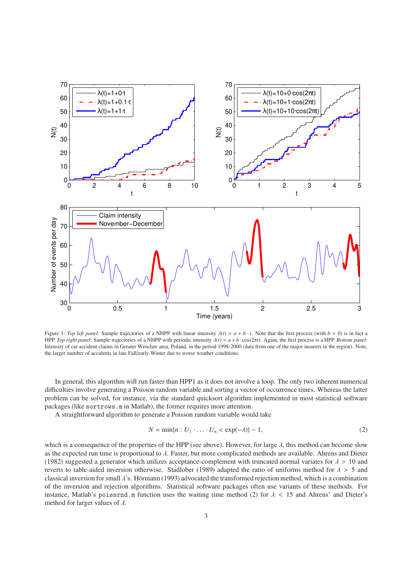

Figure 1: *Top left panel*: Sample trajectories of a NHPP with linear intensity  $\lambda(t) = a + b \cdot t$ . Note that the first process (with  $b = 0$ ) is in fact a HPP. *Top right panel*: Sample trajectories of a NHPP with periodic intensity λ(*t*) = *a* + *b* · cos(2π*t*). Again, the first process is a HPP. *Bottom panel*: Intensity of car accident claims in Greater Wrocław area, Poland, in the period 1998-2000 (data from one of the major insurers in the region). Note, the larger number of accidents in late Fall/early Winter due to worse weather conditions.

In general, this algorithm will run faster than HPP1 as it does not involve a loop. The only two inherent numerical difficulties involve generating a Poisson random variable and sorting a vector of occurrence times. Whereas the latter problem can be solved, for instance, via the standard quicksort algorithm implemented in most statistical software packages (like sortrows.m in Matlab), the former requires more attention.

A straightforward algorithm to generate a Poisson random variable would take

$$
N = \min\{n : U_1 \cdot \ldots \cdot U_n < \exp(-\lambda)\} - 1,\tag{2}
$$

which is a consequence of the properties of the HPP (see above). However, for large  $\lambda$ , this method can become slow as the expected run time is proportional to  $\lambda$ . Faster, but more complicated methods are available. Ahrens and Dieter (1982) suggested a generator which utilizes acceptance-complement with truncated normal variates for  $\lambda > 10$  and reverts to table-aided inversion otherwise. Stadlober (1989) adapted the ratio of uniforms method for  $\lambda > 5$  and classical inversion for small  $\lambda$ 's. Hörmann (1993) advocated the transformed rejection method, which is a combination of the inversion and rejection algorithms. Statistical software packages often use variants of these methods. For instance, Matlab's poissrnd.m function uses the waiting time method (2) for  $\lambda < 15$  and Ahrens' and Dieter's method for larger values of  $\lambda$ .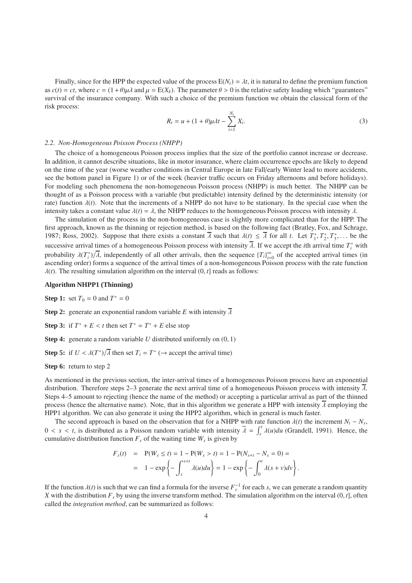Finally, since for the HPP the expected value of the process  $E(N_t) = \lambda t$ , it is natural to define the premium function as  $c(t) = ct$ , where  $c = (1 + \theta)\mu\lambda$  and  $\mu = E(X_k)$ . The parameter  $\theta > 0$  is the relative safety loading which "guarantees" survival of the insurance company. With such a choice of the premium function we obtain the classical form of the risk process:

$$
R_t = u + (1 + \theta)\mu \lambda t - \sum_{i=1}^{N_t} X_i.
$$
\n
$$
(3)
$$

#### *2.2. Non-Homogeneous Poisson Process (NHPP)*

The choice of a homogeneous Poisson process implies that the size of the portfolio cannot increase or decrease. In addition, it cannot describe situations, like in motor insurance, where claim occurrence epochs are likely to depend on the time of the year (worse weather conditions in Central Europe in late Fall/early Winter lead to more accidents, see the bottom panel in Figure 1) or of the week (heavier traffic occurs on Friday afternoons and before holidays). For modeling such phenomena the non-homogeneous Poisson process (NHPP) is much better. The NHPP can be thought of as a Poisson process with a variable (but predictable) intensity defined by the deterministic intensity (or rate) function  $\lambda(t)$ . Note that the increments of a NHPP do not have to be stationary. In the special case when the intensity takes a constant value  $\lambda(t) = \lambda$ , the NHPP reduces to the homogeneous Poisson process with intensity  $\lambda$ .

The simulation of the process in the non-homogeneous case is slightly more complicated than for the HPP. The first approach, known as the thinning or rejection method, is based on the following fact (Bratley, Fox, and Schrage, 1987; Ross, 2002). Suppose that there exists a constant  $\overline{\lambda}$  such that  $\lambda(t) \leq \overline{\lambda}$  for all *t*. Let  $T_1^*, T_2^*, T_3^*, \dots$  be the successive arrival times of a homogeneous Poisson process with intensity  $\overline{\lambda}$ . If we accept the *i*th arrival time  $T_i^*$  with probability  $\lambda(T_i^*)/\overline{\lambda}$ , independently of all other arrivals, then the sequence  $\{T_i\}_{i=0}^{\infty}$  of the accepted arrival times (in ascending order) forms a sequence of the arrival times of a non-homogeneous Poisson process with the rate function  $\lambda(t)$ . The resulting simulation algorithm on the interval  $(0, t]$  reads as follows:

## **Algorithm NHPP1 (Thinning)**

**Step 1:** set  $T_0 = 0$  and  $T^* = 0$ 

**Step 2:** generate an exponential random variable *E* with intensity  $\overline{\lambda}$ 

**Step 3:** if  $T^* + E < t$  then set  $T^* = T^* + E$  else stop

**Step 4:** generate a random variable *U* distributed uniformly on  $(0, 1)$ 

**Step 5:** if  $U < \lambda(T^*)/\overline{\lambda}$  then set  $T_i = T^*$  ( $\rightarrow$  accept the arrival time)

## **Step 6:** return to step 2

As mentioned in the previous section, the inter-arrival times of a homogeneous Poisson process have an exponential distribution. Therefore steps 2–3 generate the next arrival time of a homogeneous Poisson process with intensity  $\lambda$ . Steps 4–5 amount to rejecting (hence the name of the method) or accepting a particular arrival as part of the thinned process (hence the alternative name). Note, that in this algorithm we generate a HPP with intensity  $\overline{\lambda}$  employing the HPP1 algorithm. We can also generate it using the HPP2 algorithm, which in general is much faster.

The second approach is based on the observation that for a NHPP with rate function  $\lambda(t)$  the increment  $N_t - N_s$ ,  $0 < s < t$ , is distributed as a Poisson random variable with intensity  $\tilde{\lambda} = \int_s^t \lambda(u) du$  (Grandell, 1991). Hence, the cumulative distribution function  $F_s$  of the waiting time  $W_s$  is given by

$$
F_s(t) = P(W_s \le t) = 1 - P(W_s > t) = 1 - P(N_{s+t} - N_s = 0) =
$$
  
= 1 - exp  $\left\{-\int_s^{s+t} \lambda(u) du\right\} = 1 - exp \left\{-\int_0^t \lambda(s+v) dv\right\}.$ 

If the function  $\lambda(t)$  is such that we can find a formula for the inverse  $F_s^{-1}$  for each *s*, we can generate a random quantity *X* with the distribution  $F_s$  by using the inverse transform method. The simulation algorithm on the interval  $(0, t]$ , often called the *integration method*, can be summarized as follows: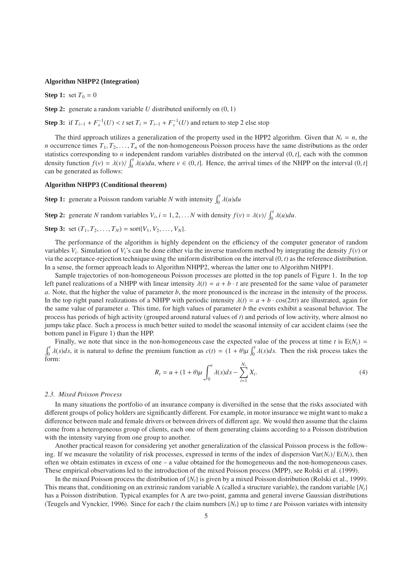## **Algorithm NHPP2 (Integration)**

**Step 1:** set  $T_0 = 0$ 

**Step 2:** generate a random variable *U* distributed uniformly on  $(0, 1)$ 

**Step 3:** if  $T_{i-1} + F_s^{-1}(U) < t$  set  $T_i = T_{i-1} + F_s^{-1}(U)$  and return to step 2 else stop

The third approach utilizes a generalization of the property used in the HPP2 algorithm. Given that  $N_t = n$ , the *n* occurrence times  $T_1, T_2, \ldots, T_n$  of the non-homogeneous Poisson process have the same distributions as the order statistics corresponding to *n* independent random variables distributed on the interval (0, *t*], each with the common density function  $f(v) = \lambda(v) / \int_0^t \lambda(u) du$ , where  $v \in (0, t]$ . Hence, the arrival times of the NHPP on the interval  $(0, t]$ can be generated as follows:

## **Algorithm NHPP3 (Conditional theorem)**

**Step 1:** generate a Poisson random variable *N* with intensity  $\int_0^t \lambda(u) du$ 

**Step 2:** generate *N* random variables  $V_i$ ,  $i = 1, 2, ... N$  with density  $f(v) = \lambda(v) / \int_0^t \lambda(u) du$ .

**Step 3:** set  $(T_1, T_2, \ldots, T_N) = \text{sort}\{V_1, V_2, \ldots, V_N\}.$ 

The performance of the algorithm is highly dependent on the efficiency of the computer generator of random variables *V<sup>i</sup>* . Simulation of *Vi*'s can be done either via the inverse transform method by integrating the density *f*(*v*) or via the acceptance-rejection technique using the uniform distribution on the interval (0, *t*) as the reference distribution. In a sense, the former approach leads to Algorithm NHPP2, whereas the latter one to Algorithm NHPP1.

Sample trajectories of non-homogeneous Poisson processes are plotted in the top panels of Figure 1. In the top left panel realizations of a NHPP with linear intensity  $\lambda(t) = a + b \cdot t$  are presented for the same value of parameter *a*. Note, that the higher the value of parameter *b*, the more pronounced is the increase in the intensity of the process. In the top right panel realizations of a NHPP with periodic intensity  $\lambda(t) = a + b \cdot \cos(2\pi t)$  are illustrated, again for the same value of parameter *a*. This time, for high values of parameter *b* the events exhibit a seasonal behavior. The process has periods of high activity (grouped around natural values of *t*) and periods of low activity, where almost no jumps take place. Such a process is much better suited to model the seasonal intensity of car accident claims (see the bottom panel in Figure 1) than the HPP.

Finally, we note that since in the non-homogeneous case the expected value of the process at time *t* is  $E(N_t)$  =  $\int_0^t \lambda(s)ds$ , it is natural to define the premium function as  $c(t) = (1 + \theta)\mu \int_0^t \lambda(s)ds$ . Then the risk process takes the form:

$$
R_t = u + (1+\theta)\mu \int_0^t \lambda(s)ds - \sum_{i=1}^{N_t} X_i.
$$
 (4)

#### *2.3. Mixed Poisson Process*

In many situations the portfolio of an insurance company is diversified in the sense that the risks associated with different groups of policy holders are significantly different. For example, in motor insurance we might want to make a difference between male and female drivers or between drivers of different age. We would then assume that the claims come from a heterogeneous group of clients, each one of them generating claims according to a Poisson distribution with the intensity varying from one group to another.

Another practical reason for considering yet another generalization of the classical Poisson process is the following. If we measure the volatility of risk processes, expressed in terms of the index of dispersion  $\text{Var}(N_t)/\text{E}(N_t)$ , then often we obtain estimates in excess of one – a value obtained for the homogeneous and the non-homogeneous cases. These empirical observations led to the introduction of the mixed Poisson process (MPP), see Rolski et al. (1999).

In the mixed Poisson process the distribution of {*Nt*} is given by a mixed Poisson distribution (Rolski et al., 1999). This means that, conditioning on an extrinsic random variable  $\Lambda$  (called a structure variable), the random variable  $\{N_t\}$ has a Poisson distribution. Typical examples for Λ are two-point, gamma and general inverse Gaussian distributions (Teugels and Vynckier, 1996). Since for each *t* the claim numbers  $\{N_t\}$  up to time *t* are Poisson variates with intensity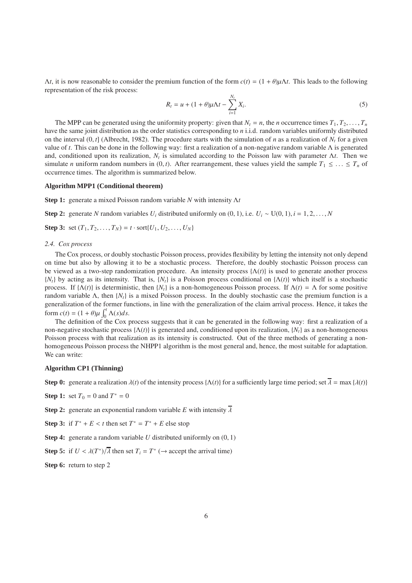Λ*t*, it is now reasonable to consider the premium function of the form *c*(*t*) = (1 + θ)µΛ*t*. This leads to the following representation of the risk process:

$$
R_{t} = u + (1 + \theta)\mu\Lambda t - \sum_{i=1}^{N_{t}} X_{i}.
$$
 (5)

The MPP can be generated using the uniformity property: given that  $N_t = n$ , the *n* occurrence times  $T_1, T_2, \ldots, T_n$ have the same joint distribution as the order statistics corresponding to *n* i.i.d. random variables uniformly distributed on the interval  $(0, t]$  (Albrecht, 1982). The procedure starts with the simulation of *n* as a realization of  $N_t$  for a given value of *t*. This can be done in the following way: first a realization of a non-negative random variable Λ is generated and, conditioned upon its realization,  $N_t$  is simulated according to the Poisson law with parameter  $\Delta t$ . Then we simulate *n* uniform random numbers in (0, *t*). After rearrangement, these values yield the sample  $T_1 \leq \ldots \leq T_n$  of occurrence times. The algorithm is summarized below.

#### **Algorithm MPP1 (Conditional theorem)**

**Step 1:** generate a mixed Poisson random variable *N* with intensity Λ*t*

**Step 2:** generate *N* random variables  $U_i$  distributed uniformly on  $(0, 1)$ , i.e.  $U_i \sim U(0, 1)$ ,  $i = 1, 2, \ldots, N$ 

**Step 3:** set  $(T_1, T_2, ..., T_N) = t \cdot \text{sort}{U_1, U_2, ..., U_N}$ 

#### *2.4. Cox process*

The Cox process, or doubly stochastic Poisson process, provides flexibility by letting the intensity not only depend on time but also by allowing it to be a stochastic process. Therefore, the doubly stochastic Poisson process can be viewed as a two-step randomization procedure. An intensity process {Λ(*t*)} is used to generate another process {*Nt*} by acting as its intensity. That is, {*Nt*} is a Poisson process conditional on {Λ(*t*)} which itself is a stochastic process. If  $\{\Lambda(t)\}\$ is deterministic, then  $\{N_t\}\$ is a non-homogeneous Poisson process. If  $\Lambda(t) = \Lambda$  for some positive random variable Λ, then  ${N_t}$  is a mixed Poisson process. In the doubly stochastic case the premium function is a generalization of the former functions, in line with the generalization of the claim arrival process. Hence, it takes the form  $c(t) = (1 + \theta)\mu \int_0^t \Lambda(s)ds$ .

The definition of the Cox process suggests that it can be generated in the following way: first a realization of a non-negative stochastic process {Λ(*t*)} is generated and, conditioned upon its realization, {*Nt*} as a non-homogeneous Poisson process with that realization as its intensity is constructed. Out of the three methods of generating a nonhomogeneous Poisson process the NHPP1 algorithm is the most general and, hence, the most suitable for adaptation. We can write:

### **Algorithm CP1 (Thinning)**

**Step 0:** generate a realization  $\lambda(t)$  of the intensity process { $\Lambda(t)$ } for a sufficiently large time period; set  $\overline{\lambda} = \max \{\lambda(t)\}$ 

**Step 1:** set  $T_0 = 0$  and  $T^* = 0$ 

**Step 2:** generate an exponential random variable *E* with intensity  $\overline{\lambda}$ 

**Step 3:** if  $T^* + E < t$  then set  $T^* = T^* + E$  else stop

**Step 4:** generate a random variable *U* distributed uniformly on  $(0, 1)$ 

**Step 5:** if  $U < \lambda(T^*)/\overline{\lambda}$  then set  $T_i = T^*$  ( $\rightarrow$  accept the arrival time)

**Step 6:** return to step 2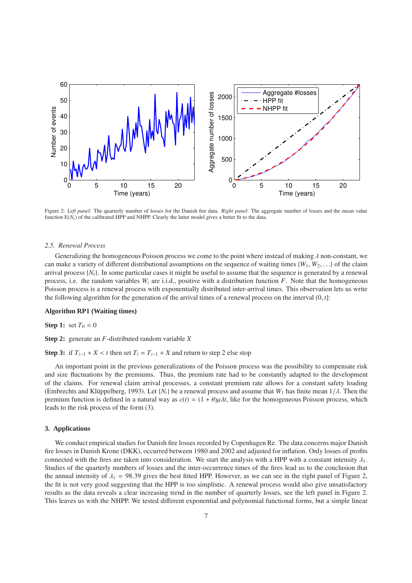

Figure 2: *Left panel*: The quarterly number of losses for the Danish fire data. *Right panel*: The aggregate number of losses and the mean value function  $E(N_t)$  of the calibrated HPP and NHPP. Clearly the latter model gives a better fit to the data.

### *2.5. Renewal Process*

Generalizing the homogeneous Poisson process we come to the point where instead of making  $\lambda$  non-constant, we can make a variety of different distributional assumptions on the sequence of waiting times  $\{W_1, W_2, \ldots\}$  of the claim arrival process  $\{N_t\}$ . In some particular cases it might be useful to assume that the sequence is generated by a renewal process, i.e. the random variables  $W_i$  are i.i.d., positive with a distribution function  $F$ . Note that the homogeneous Poisson process is a renewal process with exponentially distributed inter-arrival times. This observation lets us write the following algorithm for the generation of the arrival times of a renewal process on the interval  $(0, t]$ :

#### **Algorithm RP1 (Waiting times)**

**Step 1:** set  $T_0 = 0$ 

**Step 2:** generate an *F*-distributed random variable *X*

**Step 3:** if  $T_{i-1} + X < t$  then set  $T_i = T_{i-1} + X$  and return to step 2 else stop

An important point in the previous generalizations of the Poisson process was the possibility to compensate risk and size fluctuations by the premiums. Thus, the premium rate had to be constantly adapted to the development of the claims. For renewal claim arrival processes, a constant premium rate allows for a constant safety loading (Embrechts and Klüppelberg, 1993). Let  $\{N_t\}$  be a renewal process and assume that  $W_1$  has finite mean  $1/\lambda$ . Then the premium function is defined in a natural way as  $c(t) = (1 + \theta)\mu\lambda t$ , like for the homogeneous Poisson process, which leads to the risk process of the form (3).

## **3. Applications**

We conduct empirical studies for Danish fire losses recorded by Copenhagen Re. The data concerns major Danish fire losses in Danish Krone (DKK), occurred between 1980 and 2002 and adjusted for inflation. Only losses of profits connected with the fires are taken into consideration. We start the analysis with a HPP with a constant intensity  $\lambda_1$ . Studies of the quarterly numbers of losses and the inter-occurrence times of the fires lead us to the conclusion that the annual intensity of  $\lambda_1 = 98.39$  gives the best fitted HPP. However, as we can see in the right panel of Figure 2, the fit is not very good suggesting that the HPP is too simplistic. A renewal process would also give unsatisfactory results as the data reveals a clear increasing trend in the number of quarterly losses, see the left panel in Figure 2. This leaves us with the NHPP. We tested different exponential and polynomial functional forms, but a simple linear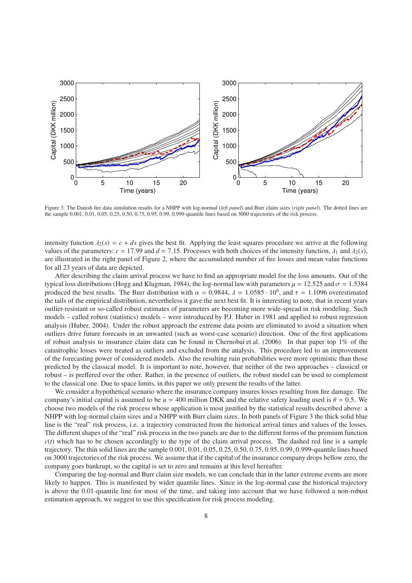

Figure 3: The Danish fire data simulation results for a NHPP with log-normal (*left panel*) and Burr claim sizes (*right panel*). The dotted lines are the sample 0.001, 0.01, 0.05, 0.25, 0.50, 0.75, 0.95, 0.99, 0.999-quantile lines based on 3000 trajectories of the risk process.

intensity function  $\lambda_2(s) = c + ds$  gives the best fit. Applying the least squares procedure we arrive at the following values of the parameters:  $c = 17.99$  and  $d = 7.15$ . Processes with both choices of the intensity function,  $\lambda_1$  and  $\lambda_2(s)$ , are illustrated in the right panel of Figure 2, where the accumulated number of fire losses and mean value functions for all 23 years of data are depicted.

After describing the claim arrival process we have to find an appropriate model for the loss amounts. Out of the typical loss distributions (Hogg and Klugman, 1984), the log-normal law with parameters  $\mu = 12.525$  and  $\sigma = 1.5384$ produced the best results. The Burr distribution with  $\alpha = 0.9844$ ,  $\lambda = 1.0585 \cdot 10^6$ , and  $\tau = 1.1096$  overestimated the tails of the empirical distribution, nevertheless it gave the next best fit. It is interesting to note, that in recent years outlier-resistant or so-called robust estimates of parameters are becoming more wide-spread in risk modeling. Such models – called robust (statistics) models – were introduced by P.J. Huber in 1981 and applied to robust regression analysis (Huber, 2004). Under the robust approach the extreme data points are eliminated to avoid a situation when outliers drive future forecasts in an unwanted (such as worst-case scenario) direction. One of the first applications of robust analysis to insurance claim data can be found in Chernobai et al. (2006). In that paper top 1% of the catastrophic losses were treated as outliers and excluded from the analysis. This procedure led to an improvement of the forecasting power of considered models. Also the resulting ruin probabilities were more optimistic than those predicted by the classical model. It is important to note, however, that neither of the two approaches – classical or robust – is preffered over the other. Rather, in the presence of outliers, the robust model can be used to complement to the classical one. Due to space limits, in this paper we only present the results of the latter.

We consider a hypothetical scenario where the insurance company insures losses resulting from fire damage. The company's initial capital is assumed to be  $u = 400$  million DKK and the relative safety loading used is  $\theta = 0.5$ . We choose two models of the risk process whose application is most justified by the statistical results described above: a NHPP with log-normal claim sizes and a NHPP with Burr claim sizes. In both panels of Figure 3 the thick solid blue line is the "real" risk process, i.e. a trajectory constructed from the historical arrival times and values of the losses. The different shapes of the "real" risk process in the two panels are due to the different forms of the premium function  $c(t)$  which has to be chosen accordingly to the type of the claim arrival process. The dashed red line is a sample trajectory. The thin solid lines are the sample 0.001, 0.01, 0.05, 0.25, 0.50, 0.75, 0.95, 0.99, 0.999-quantile lines based on 3000 trajectories of the risk process. We assume that if the capital of the insurance company drops bellow zero, the company goes bankrupt, so the capital is set to zero and remains at this level hereafter.

Comparing the log-normal and Burr claim size models, we can conclude that in the latter extreme events are more likely to happen. This is manifested by wider quantile lines. Since in the log-normal case the historical trajectory is above the 0.01-quantile line for most of the time, and taking into account that we have followed a non-robust estimation approach, we suggest to use this specification for risk process modeling.